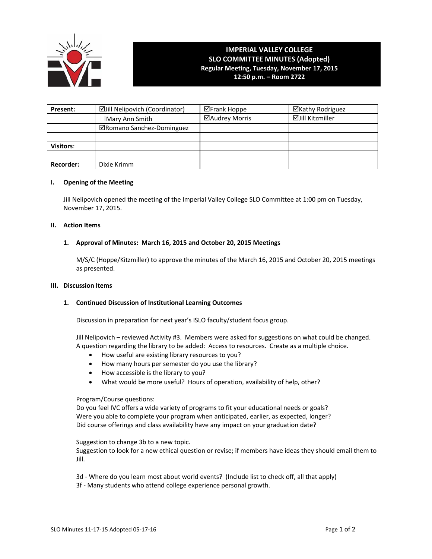

# **IMPERIAL VALLEY COLLEGE SLO COMMITTEE MINUTES (Adopted) Regular Meeting, Tuesday, November 17, 2015 12:50 p.m. – Room 2722**

| Present:         | ☑Jill Nelipovich (Coordinator) | <b>⊠Frank Hoppe</b> | ⊠Kathy Rodriguez |
|------------------|--------------------------------|---------------------|------------------|
|                  | $\Box$ Mary Ann Smith          | ⊠Audrey Morris      | ⊠Jill Kitzmiller |
|                  | ⊠Romano Sanchez-Dominguez      |                     |                  |
|                  |                                |                     |                  |
| <b>Visitors:</b> |                                |                     |                  |
|                  |                                |                     |                  |
| <b>Recorder:</b> | Dixie Krimm                    |                     |                  |

## **I. Opening of the Meeting**

Jill Nelipovich opened the meeting of the Imperial Valley College SLO Committee at 1:00 pm on Tuesday, November 17, 2015.

#### **II. Action Items**

# **1. Approval of Minutes: March 16, 2015 and October 20, 2015 Meetings**

M/S/C (Hoppe/Kitzmiller) to approve the minutes of the March 16, 2015 and October 20, 2015 meetings as presented.

#### **III. Discussion Items**

#### **1. Continued Discussion of Institutional Learning Outcomes**

Discussion in preparation for next year's ISLO faculty/student focus group.

Jill Nelipovich – reviewed Activity #3. Members were asked for suggestions on what could be changed. A question regarding the library to be added: Access to resources. Create as a multiple choice.

- How useful are existing library resources to you?
- How many hours per semester do you use the library?
- How accessible is the library to you?
- What would be more useful? Hours of operation, availability of help, other?

#### Program/Course questions:

Do you feel IVC offers a wide variety of programs to fit your educational needs or goals? Were you able to complete your program when anticipated, earlier, as expected, longer? Did course offerings and class availability have any impact on your graduation date?

Suggestion to change 3b to a new topic.

Suggestion to look for a new ethical question or revise; if members have ideas they should email them to Jill.

- 3d Where do you learn most about world events? (Include list to check off, all that apply)
- 3f Many students who attend college experience personal growth.